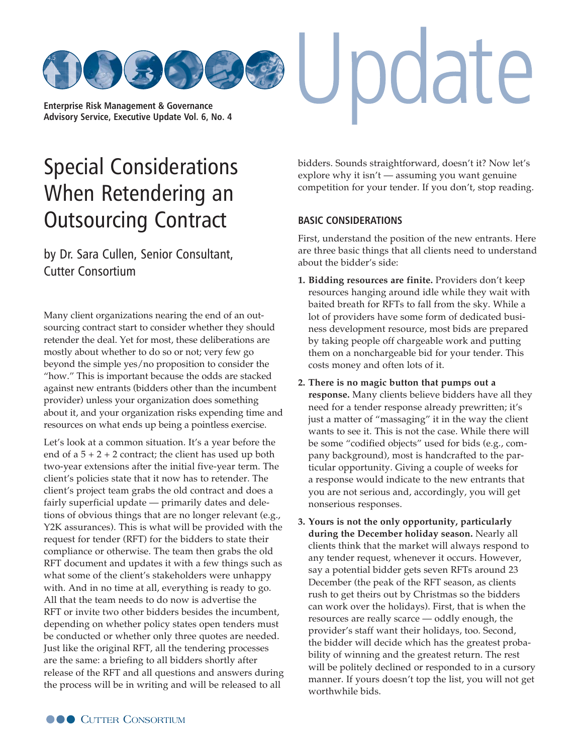

# [Special Considerations](http://www.cutter.com) When Retendering an Outsourcing Contract

by Dr. Sara Cullen, Senior Consultant, Cutter Consortium

Many client organizations nearing the end of an outsourcing contract start to consider whether they should retender the deal. Yet for most, these deliberations are mostly about whether to do so or not; very few go beyond the simple yes/no proposition to consider the "how." This is important because the odds are stacked against new entrants (bidders other than the incumbent provider) unless your organization does something about it, and your organization risks expending time and resources on what ends up being a pointless exercise.

Let's look at a common situation. It's a year before the end of  $a 5 + 2 + 2$  contract; the client has used up both two-year extensions after the initial five-year term. The client's policies state that it now has to retender. The client's project team grabs the old contract and does a fairly superficial update — primarily dates and deletions of obvious things that are no longer relevant (e.g., Y2K assurances). This is what will be provided with the request for tender (RFT) for the bidders to state their compliance or otherwise. The team then grabs the old RFT document and updates it with a few things such as what some of the client's stakeholders were unhappy with. And in no time at all, everything is ready to go. All that the team needs to do now is advertise the RFT or invite two other bidders besides the incumbent, depending on whether policy states open tenders must be conducted or whether only three quotes are needed. Just like the original RFT, all the tendering processes are the same: a briefing to all bidders shortly after release of the RFT and all questions and answers during the process will be in writing and will be released to all

bidders. Sounds straightforward, doesn't it? Now let's explore why it isn't — assuming you want genuine competition for your tender. If you don't, stop reading.

pdate

## **BASIC CONSIDERATIONS**

First, understand the position of the new entrants. Here are three basic things that all clients need to understand about the bidder's side:

- **1. Bidding resources are finite.** Providers don't keep resources hanging around idle while they wait with baited breath for RFTs to fall from the sky. While a lot of providers have some form of dedicated business development resource, most bids are prepared by taking people off chargeable work and putting them on a nonchargeable bid for your tender. This costs money and often lots of it.
- **2. There is no magic button that pumps out a response.** Many clients believe bidders have all they need for a tender response already prewritten; it's just a matter of "massaging" it in the way the client wants to see it. This is not the case. While there will be some "codified objects" used for bids (e.g., company background), most is handcrafted to the particular opportunity. Giving a couple of weeks for a response would indicate to the new entrants that you are not serious and, accordingly, you will get nonserious responses.
- **3. Yours is not the only opportunity, particularly during the December holiday season.** Nearly all clients think that the market will always respond to any tender request, whenever it occurs. However, say a potential bidder gets seven RFTs around 23 December (the peak of the RFT season, as clients rush to get theirs out by Christmas so the bidders can work over the holidays). First, that is when the resources are really scarce — oddly enough, the provider's staff want their holidays, too. Second, the bidder will decide which has the greatest probability of winning and the greatest return. The rest will be politely declined or responded to in a cursory manner. If yours doesn't top the list, you will not get worthwhile bids.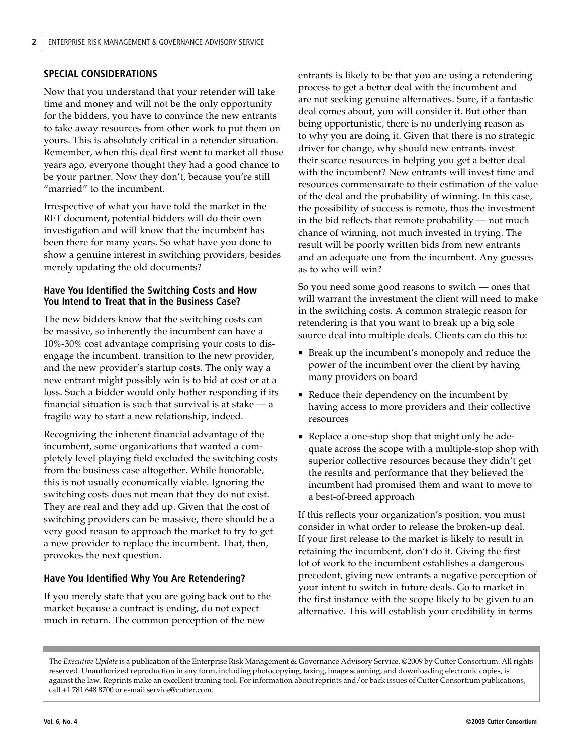## **SPECIAL CONSIDERATIONS**

Now that you understand that your retender will take time and money and will not be the only opportunity for the bidders, you have to convince the new entrants to take away resources from other work to put them on yours. This is absolutely critical in a retender situation. Remember, when this deal first went to market all those years ago, everyone thought they had a good chance to be your partner. Now they don't, because you're still "married" to the incumbent.

Irrespective of what you have told the market in the RFT document, potential bidders will do their own investigation and will know that the incumbent has been there for many years. So what have you done to show a genuine interest in switching providers, besides merely updating the old documents?

### **Have You Identified the Switching Costs and How You Intend to Treat that in the Business Case?**

The new bidders know that the switching costs can be massive, so inherently the incumbent can have a 10%-30% cost advantage comprising your costs to disengage the incumbent, transition to the new provider, and the new provider's startup costs. The only way a new entrant might possibly win is to bid at cost or at a loss. Such a bidder would only bother responding if its financial situation is such that survival is at stake — a fragile way to start a new relationship, indeed.

Recognizing the inherent financial advantage of the incumbent, some organizations that wanted a completely level playing field excluded the switching costs from the business case altogether. While honorable, this is not usually economically viable. Ignoring the switching costs does not mean that they do not exist. They are real and they add up. Given that the cost of switching providers can be massive, there should be a very good reason to approach the market to try to get a new provider to replace the incumbent. That, then, provokes the next question.

# **Have You Identified Why You Are Retendering?**

If you merely state that you are going back out to the market because a contract is ending, do not expect much in return. The common perception of the new

entrants is likely to be that you are using a retendering process to get a better deal with the incumbent and are not seeking genuine alternatives. Sure, if a fantastic deal comes about, you will consider it. But other than being opportunistic, there is no underlying reason as to why you are doing it. Given that there is no strategic driver for change, why should new entrants invest their scarce resources in helping you get a better deal with the incumbent? New entrants will invest time and resources commensurate to their estimation of the value of the deal and the probability of winning. In this case, the possibility of success is remote, thus the investment in the bid reflects that remote probability — not much chance of winning, not much invested in trying. The result will be poorly written bids from new entrants and an adequate one from the incumbent. Any guesses as to who will win?

So you need some good reasons to switch — ones that will warrant the investment the client will need to make in the switching costs. A common strategic reason for retendering is that you want to break up a big sole source deal into multiple deals. Clients can do this to:

- Break up the incumbent's monopoly and reduce the power of the incumbent over the client by having many providers on board
- Reduce their dependency on the incumbent by having access to more providers and their collective resources
- Replace a one-stop shop that might only be adequate across the scope with a multiple-stop shop with superior collective resources because they didn't get the results and performance that they believed the incumbent had promised them and want to move to a best-of-breed approach

If this reflects your organization's position, you must consider in what order to release the broken-up deal. If your first release to the market is likely to result in retaining the incumbent, don't do it. Giving the first lot of work to the incumbent establishes a dangerous precedent, giving new entrants a negative perception of your intent to switch in future deals. Go to market in the first instance with the scope likely to be given to an alternative. This will establish your credibility in terms

The *Executive Update* is a publication of the Enterprise Risk Management & Governance Advisory Service. ©2009 by Cutter Consortium. All rights reserved. Unauthorized reproduction in any form, including photocopying, faxing, image scanning, and downloading electronic copies, is against the law. Reprints make an excellent training tool. For information about reprints and/or back issues of Cutter Consortium publications, call +1 781 648 8700 or e-[mail service@cutter.com.](mailto:service@cutter.com)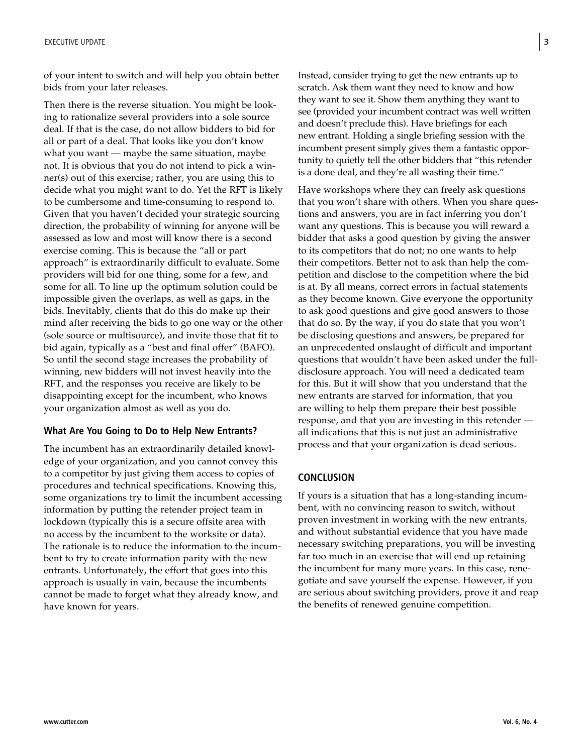of your intent to switch and will help you obtain better bids from your later releases.

Then there is the reverse situation. You might be looking to rationalize several providers into a sole source deal. If that is the case, do not allow bidders to bid for all or part of a deal. That looks like you don't know what you want — maybe the same situation, maybe not. It is obvious that you do not intend to pick a winner(s) out of this exercise; rather, you are using this to decide what you might want to do. Yet the RFT is likely to be cumbersome and time-consuming to respond to. Given that you haven't decided your strategic sourcing direction, the probability of winning for anyone will be assessed as low and most will know there is a second exercise coming. This is because the "all or part approach" is extraordinarily difficult to evaluate. Some providers will bid for one thing, some for a few, and some for all. To line up the optimum solution could be impossible given the overlaps, as well as gaps, in the bids. Inevitably, clients that do this do make up their mind after receiving the bids to go one way or the other (sole source or multisource), and invite those that fit to bid again, typically as a "best and final offer" (BAFO). So until the second stage increases the probability of winning, new bidders will not invest heavily into the RFT, and the responses you receive are likely to be disappointing except for the incumbent, who knows your organization almost as well as you do.

#### **What Are You Going to Do to Help New Entrants?**

The incumbent has an extraordinarily detailed knowledge of your organization, and you cannot convey this to a competitor by just giving them access to copies of procedures and technical specifications. Knowing this, some organizations try to limit the incumbent accessing information by putting the retender project team in lockdown (typically this is a secure offsite area with no access by the incumbent to the worksite or data). The rationale is to reduce the information to the incumbent to try to create information parity with the new entrants. Unfortunately, the effort that goes into this approach is usually in vain, because the incumbents cannot be made to forget what they already know, and have known for years.

Instead, consider trying to get the new entrants up to scratch. Ask them want they need to know and how they want to see it. Show them anything they want to see (provided your incumbent contract was well written and doesn't preclude this). Have briefings for each new entrant. Holding a single briefing session with the incumbent present simply gives them a fantastic opportunity to quietly tell the other bidders that "this retender is a done deal, and they're all wasting their time."

Have workshops where they can freely ask questions that you won't share with others. When you share questions and answers, you are in fact inferring you don't want any questions. This is because you will reward a bidder that asks a good question by giving the answer to its competitors that do not; no one wants to help their competitors. Better not to ask than help the competition and disclose to the competition where the bid is at. By all means, correct errors in factual statements as they become known. Give everyone the opportunity to ask good questions and give good answers to those that do so. By the way, if you do state that you won't be disclosing questions and answers, be prepared for an unprecedented onslaught of difficult and important questions that wouldn't have been asked under the fulldisclosure approach. You will need a dedicated team for this. But it will show that you understand that the new entrants are starved for information, that you are willing to help them prepare their best possible response, and that you are investing in this retender all indications that this is not just an administrative process and that your organization is dead serious.

#### **CONCLUSION**

If yours is a situation that has a long-standing incumbent, with no convincing reason to switch, without proven investment in working with the new entrants, and without substantial evidence that you have made necessary switching preparations, you will be investing far too much in an exercise that will end up retaining the incumbent for many more years. In this case, renegotiate and save yourself the expense. However, if you are serious about switching providers, prove it and reap the benefits of renewed genuine competition.